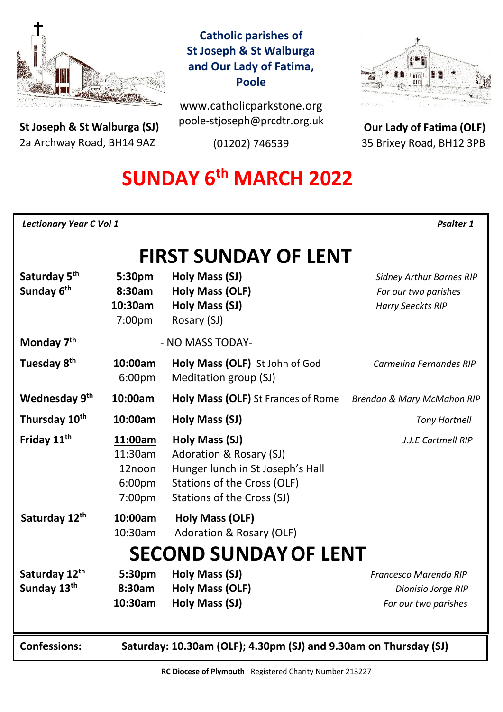

**St Joseph & St Walburga (SJ)** 2a Archway Road, BH14 9AZ 

# **Catholic parishes of St Joseph & St Walburga and Our Lady of Fatima, Poole**

www.catholicparkstone.org poole-stjoseph@prcdtr.org.uk

(01202) 746539



**Our Lady of Fatima (OLF)** 35 Brixey Road, BH12 3PB

# **SUNDAY 6 th MARCH 2022**

| <b>Lectionary Year C Vol 1</b> | <b>Psalter 1</b> |
|--------------------------------|------------------|
|--------------------------------|------------------|

# **FIRST SUNDAY OF LENT**

| Saturday 5 <sup>th</sup><br>Sunday 6 <sup>th</sup> | 5:30pm<br>8:30am<br>10:30am<br>7:00pm                            | Holy Mass (SJ)<br><b>Holy Mass (OLF)</b><br>Holy Mass (SJ)<br>Rosary (SJ)                                                                  | <b>Sidney Arthur Barnes RIP</b><br>For our two parishes<br><b>Harry Seeckts RIP</b> |  |
|----------------------------------------------------|------------------------------------------------------------------|--------------------------------------------------------------------------------------------------------------------------------------------|-------------------------------------------------------------------------------------|--|
| Monday 7 <sup>th</sup>                             |                                                                  | - NO MASS TODAY-                                                                                                                           |                                                                                     |  |
| Tuesday 8 <sup>th</sup>                            | 10:00am<br>6:00 <sub>pm</sub>                                    | Holy Mass (OLF) St John of God<br>Meditation group (SJ)                                                                                    | Carmelina Fernandes RIP                                                             |  |
| Wednesday 9th                                      | 10:00am                                                          | Holy Mass (OLF) St Frances of Rome                                                                                                         | Brendan & Mary McMahon RIP                                                          |  |
| Thursday 10 <sup>th</sup>                          | 10:00am                                                          | Holy Mass (SJ)                                                                                                                             | <b>Tony Hartnell</b>                                                                |  |
| Friday 11 <sup>th</sup>                            | 11:00am<br>11:30am<br>12noon<br>6:00 <sub>pm</sub><br>7:00pm     | Holy Mass (SJ)<br>Adoration & Rosary (SJ)<br>Hunger lunch in St Joseph's Hall<br>Stations of the Cross (OLF)<br>Stations of the Cross (SJ) | J.J.E Cartmell RIP                                                                  |  |
| Saturday 12 <sup>th</sup>                          | 10:00am<br>10:30am                                               | Holy Mass (OLF)<br>Adoration & Rosary (OLF)                                                                                                |                                                                                     |  |
| <b>SECOND SUNDAY OF LENT</b>                       |                                                                  |                                                                                                                                            |                                                                                     |  |
| Saturday 12th<br>Sunday 13th                       | 5:30pm<br>8:30am<br>10:30am                                      | Holy Mass (SJ)<br><b>Holy Mass (OLF)</b><br>Holy Mass (SJ)                                                                                 | Francesco Marenda RIP<br>Dionisio Jorge RIP<br>For our two parishes                 |  |
| <b>Confessions:</b>                                | Saturday: 10.30am (OLF); 4.30pm (SJ) and 9.30am on Thursday (SJ) |                                                                                                                                            |                                                                                     |  |